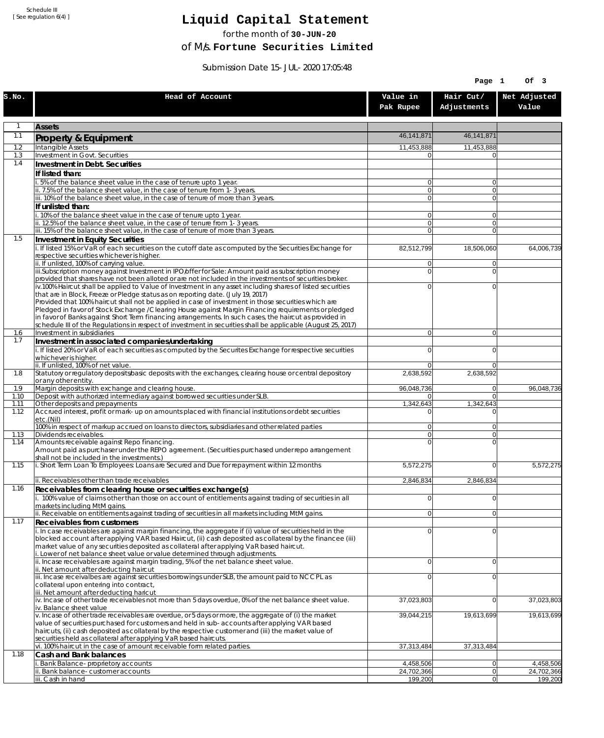Schedule III [ See regulation 6(4) ]

## **Liquid Capital Statement**

for the month of **30-JUN-20**

of M/s. **Fortune Securities Limited**

Submission Date 15-JUL-2020 17:05:48

|              |                                                                                                                                                                                                                        |                                  | Page 1                   | Of 3                    |
|--------------|------------------------------------------------------------------------------------------------------------------------------------------------------------------------------------------------------------------------|----------------------------------|--------------------------|-------------------------|
| S.NO.        | Head of Account                                                                                                                                                                                                        | Value in<br>Pak Rupee            | Hair Cut/<br>Adjustments | Net Adjusted<br>Value   |
| 1            | <b>Assets</b>                                                                                                                                                                                                          |                                  |                          |                         |
| 1.1          | Property & Equipment                                                                                                                                                                                                   | 46, 141, 871                     | 46,141,871               |                         |
| 1.2          | Intangible Assets                                                                                                                                                                                                      | 11,453,888                       | 11,453,888               |                         |
| 1.3<br>1.4   | Investment in Govt. Securities<br>Investment in Debt. Securities                                                                                                                                                       | $\Omega$                         | $\Omega$                 |                         |
|              | If listed than:                                                                                                                                                                                                        |                                  |                          |                         |
|              | i. 5% of the balance sheet value in the case of tenure upto 1 year.                                                                                                                                                    | $\overline{0}$                   | $\overline{0}$           |                         |
|              | ii. 7.5% of the balance sheet value, in the case of tenure from 1-3 years.                                                                                                                                             | 0                                | $\overline{0}$           |                         |
|              | iii. 10% of the balance sheet value, in the case of tenure of more than 3 years.<br>If unlisted than:                                                                                                                  | $\overline{0}$                   | $\overline{0}$           |                         |
|              | i. 10% of the balance sheet value in the case of tenure upto 1 year.                                                                                                                                                   | $\overline{0}$                   | $\Omega$                 |                         |
|              | ii. 12.5% of the balance sheet value, in the case of tenure from 1-3 years.                                                                                                                                            | 0                                | $\overline{0}$           |                         |
| 1.5          | iii. 15% of the balance sheet value, in the case of tenure of more than 3 years.<br>Investment in Equity Securities                                                                                                    | $\overline{0}$                   | $\Omega$                 |                         |
|              | i. If listed 15% or VaR of each securities on the cutoff date as computed by the Securities Exchange for                                                                                                               | 82,512,799                       | 18,506,060               | 64,006,739              |
|              | respective securities whichever is higher.                                                                                                                                                                             |                                  |                          |                         |
|              | ii. If unlisted, 100% of carrying value.<br>iii.Subscription money against Investment in IPO/offer for Sale: Amount paid as subscription money                                                                         | $\overline{0}$<br>$\overline{0}$ | $\Omega$<br>$\Omega$     |                         |
|              | provided that shares have not been alloted or are not included in the investments of securities broker.                                                                                                                |                                  |                          |                         |
|              | iv.100% Haircut shall be applied to Value of Investment in any asset including shares of listed securities                                                                                                             | $\overline{0}$                   | $\mathbf{0}$             |                         |
|              | that are in Block, Freeze or Pledge status as on reporting date. (July 19, 2017)<br>Provided that 100% haircut shall not be applied in case of investment in those securities which are                                |                                  |                          |                         |
|              | Pledged in favor of Stock Exchange / Clearing House against Margin Financing requirements or pledged                                                                                                                   |                                  |                          |                         |
|              | in favor of Banks against Short Term financing arrangements. In such cases, the haircut as provided in<br>schedule III of the Regulations in respect of investment in securities shall be applicable (August 25, 2017) |                                  |                          |                         |
| 1.6          | Investment in subsidiaries                                                                                                                                                                                             | $\overline{0}$                   | $\overline{0}$           |                         |
| 1.7          | Investment in associated companies/undertaking                                                                                                                                                                         |                                  |                          |                         |
|              | i. If listed 20% or VaR of each securities as computed by the Securites Exchange for respective securities<br>whichever is higher.                                                                                     | $\overline{0}$                   | $\mathbf{0}$             |                         |
|              | ii. If unlisted, 100% of net value.                                                                                                                                                                                    | $\overline{0}$                   | $\Omega$                 |                         |
| 1.8          | Statutory or regulatory deposits/basic deposits with the exchanges, clearing house or central depository                                                                                                               | 2,638,592                        | 2,638,592                |                         |
| 1.9          | or any other entity.<br>Margin deposits with exchange and clearing house.                                                                                                                                              | 96,048,736                       | 0                        | 96,048,736              |
| 1.10         | Deposit with authorized intermediary against borrowed securities under SLB.                                                                                                                                            | 01                               | $\Omega$                 |                         |
| 1.11<br>1.12 | Other deposits and prepayments<br>Accrued interest, profit or mark-up on amounts placed with financial institutions or debt securities                                                                                 | 1,342,643<br>$\Omega$            | 1,342,643<br>$\Omega$    |                         |
|              | etc.(Nil)                                                                                                                                                                                                              |                                  |                          |                         |
|              | 100% in respect of markup accrued on loans to directors, subsidiaries and other related parties                                                                                                                        | $\overline{0}$                   | $\Omega$                 |                         |
| 1.13<br>1.14 | Dividends receivables.<br>Amounts receivable against Repo financing.                                                                                                                                                   | $\overline{0}$<br>$\Omega$       | $\Omega$<br>$\mathbf{0}$ |                         |
|              | Amount paid as purchaser under the REPO agreement. (Securities purchased under repo arrangement                                                                                                                        |                                  |                          |                         |
| 1.15         | shall not be included in the investments.)<br>i. Short Term Loan To Employees: Loans are Secured and Due for repayment within 12 months                                                                                | 5,572,275                        | $\Omega$                 | 5,572,275               |
|              |                                                                                                                                                                                                                        |                                  |                          |                         |
| 1.16         | ii. Receivables other than trade receivables                                                                                                                                                                           | 2,846,834                        | 2.846.834                |                         |
|              | Receivables from clearing house or securities exchange(s)<br>i. 100% value of claims other than those on account of entitlements against trading of securities in all                                                  | $\overline{0}$                   | $\overline{0}$           |                         |
|              | markets including MtM gains.                                                                                                                                                                                           |                                  |                          |                         |
| 1.17         | ii. Receivable on entitlements against trading of securities in all markets including MtM gains.                                                                                                                       | $\overline{0}$                   | 0                        |                         |
|              | Receivables from customers<br>i. In case receivables are against margin financing, the aggregate if (i) value of securities held in the                                                                                | $\overline{0}$                   | $\Omega$                 |                         |
|              | blocked account after applying VAR based Haircut, (ii) cash deposited as collateral by the financee (iii)                                                                                                              |                                  |                          |                         |
|              | market value of any securities deposited as collateral after applying VaR based haircut.                                                                                                                               |                                  |                          |                         |
|              | i. Lower of net balance sheet value or value determined through adjustments.<br>ii. Incase receivables are against margin trading, 5% of the net balance sheet value.                                                  | $\overline{0}$                   | $\overline{0}$           |                         |
|              | ii. Net amount after deducting haircut                                                                                                                                                                                 |                                  |                          |                         |
|              | iii. Incase receivalbes are against securities borrowings under SLB, the amount paid to NCCPL as<br>collateral upon entering into contract,                                                                            | $\overline{0}$                   | $\mathbf{0}$             |                         |
|              | iii. Net amount after deducting haricut                                                                                                                                                                                |                                  |                          |                         |
|              | iv. Incase of other trade receivables not more than 5 days overdue, 0% of the net balance sheet value.<br>iv. Balance sheet value                                                                                      | 37,023,803                       | 0                        | 37,023,803              |
|              | v. Incase of other trade receivables are overdue, or 5 days or more, the aggregate of (i) the market                                                                                                                   | 39,044,215                       | 19,613,699               | 19,613,699              |
|              | value of securities purchased for customers and held in sub-accounts after applying VAR based                                                                                                                          |                                  |                          |                         |
|              | haircuts, (ii) cash deposited as collateral by the respective customer and (iii) the market value of<br>securities held as collateral after applying VaR based haircuts.                                               |                                  |                          |                         |
|              | vi. 100% haircut in the case of amount receivable form related parties.                                                                                                                                                | 37,313,484                       | 37,313,484               |                         |
| 1.18         | Cash and Bank balances                                                                                                                                                                                                 |                                  |                          |                         |
|              | i. Bank Balance-proprietory accounts<br>ii. Bank balance-customer accounts                                                                                                                                             | 4,458,506<br>24,702,366          | 0 <br> 0                 | 4,458,506<br>24,702,366 |
|              | iii. Cash in hand                                                                                                                                                                                                      | 199,200                          | 0                        | 199,200                 |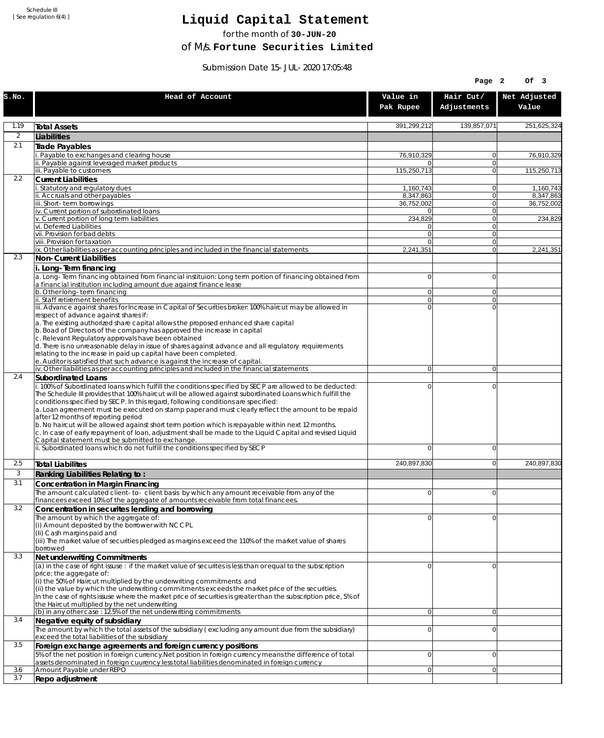Schedule III [ See regulation 6(4) ]

## **Liquid Capital Statement**

for the month of **30-JUN-20**

of M/s. **Fortune Securities Limited**

Submission Date 15-JUL-2020 17:05:48

|              |                                                                                                                                                                                                                                                                                                                                                                                                                                                                                                                                                                                                                                                                                                                             |                        | Page 2                     | Of 3                    |
|--------------|-----------------------------------------------------------------------------------------------------------------------------------------------------------------------------------------------------------------------------------------------------------------------------------------------------------------------------------------------------------------------------------------------------------------------------------------------------------------------------------------------------------------------------------------------------------------------------------------------------------------------------------------------------------------------------------------------------------------------------|------------------------|----------------------------|-------------------------|
| S.NO.        | Head of Account                                                                                                                                                                                                                                                                                                                                                                                                                                                                                                                                                                                                                                                                                                             | Value in<br>Pak Rupee  | Hair Cut/<br>Adjustments   | Net Adjusted<br>Value   |
| 1.19         | <b>Total Assets</b>                                                                                                                                                                                                                                                                                                                                                                                                                                                                                                                                                                                                                                                                                                         | 391,299,212            | 139,857,071                | 251,625,324             |
| 2            | Liabilities                                                                                                                                                                                                                                                                                                                                                                                                                                                                                                                                                                                                                                                                                                                 |                        |                            |                         |
| 2.1          | Trade Payables                                                                                                                                                                                                                                                                                                                                                                                                                                                                                                                                                                                                                                                                                                              |                        |                            |                         |
|              | Payable to exchanges and clearing house<br>ii. Payable against leveraged market products                                                                                                                                                                                                                                                                                                                                                                                                                                                                                                                                                                                                                                    | 76,910,329<br>0        | $\overline{0}$<br>$\Omega$ | 76,910,329              |
|              | iii. Payable to customers                                                                                                                                                                                                                                                                                                                                                                                                                                                                                                                                                                                                                                                                                                   | 115,250,713            | $\Omega$                   | 115,250,713             |
| 2.2          | <b>Current Liabilities</b>                                                                                                                                                                                                                                                                                                                                                                                                                                                                                                                                                                                                                                                                                                  |                        |                            |                         |
|              | . Statutory and regulatory dues<br>ii. Accruals and other payables                                                                                                                                                                                                                                                                                                                                                                                                                                                                                                                                                                                                                                                          | 1.160.743<br>8,347,863 | $\Omega$<br>$\Omega$       | 1,160,743               |
|              | iii. Short-term borrowings                                                                                                                                                                                                                                                                                                                                                                                                                                                                                                                                                                                                                                                                                                  | 36,752,002             | 0                          | 8,347,863<br>36,752,002 |
|              | iv. Current portion of subordinated loans                                                                                                                                                                                                                                                                                                                                                                                                                                                                                                                                                                                                                                                                                   | 0                      | $\Omega$                   |                         |
|              | v. Current portion of long term liabilities<br>vi. Deferred Liabilities                                                                                                                                                                                                                                                                                                                                                                                                                                                                                                                                                                                                                                                     | 234,829<br>0           | $\Omega$<br> 0             | 234,829                 |
|              | vii. Provision for bad debts                                                                                                                                                                                                                                                                                                                                                                                                                                                                                                                                                                                                                                                                                                | $\Omega$               | $\Omega$                   |                         |
|              | viii. Provision for taxation                                                                                                                                                                                                                                                                                                                                                                                                                                                                                                                                                                                                                                                                                                | 0                      | 0 <br>$\Omega$             |                         |
| 2.3          | ix. Other liabilities as per accounting principles and included in the financial statements<br>Non-Current Liabilities                                                                                                                                                                                                                                                                                                                                                                                                                                                                                                                                                                                                      | 2,241,351              |                            | 2,241,351               |
|              | i. Long-Term financing                                                                                                                                                                                                                                                                                                                                                                                                                                                                                                                                                                                                                                                                                                      |                        |                            |                         |
|              | a. Long-Term financing obtained from financial instituion: Long term portion of financing obtained from<br>a financial institution including amount due against finance lease                                                                                                                                                                                                                                                                                                                                                                                                                                                                                                                                               | $\overline{0}$         | $\Omega$                   |                         |
|              | b. Other long-term financing<br>ii. Staff retirement benefits                                                                                                                                                                                                                                                                                                                                                                                                                                                                                                                                                                                                                                                               | 0<br>$\overline{0}$    | $\Omega$<br>$\Omega$       |                         |
|              | iii. Advance against shares for Increase in Capital of Securities broker: 100% haircut may be allowed in                                                                                                                                                                                                                                                                                                                                                                                                                                                                                                                                                                                                                    | 0                      | $\Omega$                   |                         |
|              | respect of advance against shares if:<br>a. The existing authorized share capital allows the proposed enhanced share capital                                                                                                                                                                                                                                                                                                                                                                                                                                                                                                                                                                                                |                        |                            |                         |
|              | b. Boad of Directors of the company has approved the increase in capital<br>c. Relevant Regulatory approvals have been obtained                                                                                                                                                                                                                                                                                                                                                                                                                                                                                                                                                                                             |                        |                            |                         |
|              | d. There is no unreasonable delay in issue of shares against advance and all regulatory requirements                                                                                                                                                                                                                                                                                                                                                                                                                                                                                                                                                                                                                        |                        |                            |                         |
|              | relating to the increase in paid up capital have been completed.                                                                                                                                                                                                                                                                                                                                                                                                                                                                                                                                                                                                                                                            |                        |                            |                         |
|              | e. Auditor is satisfied that such advance is against the increase of capital.<br>iv. Other liabilities as per accounting principles and included in the financial statements                                                                                                                                                                                                                                                                                                                                                                                                                                                                                                                                                | $\overline{0}$         | $\overline{0}$             |                         |
| 2.4          | Subordinated Loans                                                                                                                                                                                                                                                                                                                                                                                                                                                                                                                                                                                                                                                                                                          |                        |                            |                         |
|              | . 100% of Subordinated loans which fulfill the conditions specified by SECP are allowed to be deducted:<br>The Schedule III provides that 100% haircut will be allowed against subordinated Loans which fulfill the<br>conditions specified by SECP. In this regard, following conditions are specified:<br>a. Loan agreement must be executed on stamp paper and must clearly reflect the amount to be repaid<br>after 12 months of reporting period<br>b. No haircut will be allowed against short term portion which is repayable within next 12 months.<br>c. In case of early repayment of loan, adjustment shall be made to the Liquid Capital and revised Liquid<br>Capital statement must be submitted to exchange. | 0                      | $\mathbf 0$                |                         |
|              | ii. Subordinated loans which do not fulfill the conditions specified by SECP                                                                                                                                                                                                                                                                                                                                                                                                                                                                                                                                                                                                                                                | 0                      | $\mathbf 0$                |                         |
| 2.5          | <b>Total Liabilites</b>                                                                                                                                                                                                                                                                                                                                                                                                                                                                                                                                                                                                                                                                                                     | 240,897,830            | $\mathbf 0$                | 240.897.830             |
| $\mathbf{3}$ | Ranking Liabilities Relating to:                                                                                                                                                                                                                                                                                                                                                                                                                                                                                                                                                                                                                                                                                            |                        |                            |                         |
| 3.1          | Concentration in Margin Financing                                                                                                                                                                                                                                                                                                                                                                                                                                                                                                                                                                                                                                                                                           |                        |                            |                         |
|              | The amount calculated client-to-client basis by which any amount receivable from any of the                                                                                                                                                                                                                                                                                                                                                                                                                                                                                                                                                                                                                                 | $\Omega$               | $\Omega$                   |                         |
| 3.2          | financees exceed 10% of the aggregate of amounts receivable from total financees.<br>Concentration in securites lending and borrowing                                                                                                                                                                                                                                                                                                                                                                                                                                                                                                                                                                                       |                        |                            |                         |
|              | The amount by which the aggregate of:                                                                                                                                                                                                                                                                                                                                                                                                                                                                                                                                                                                                                                                                                       | 0                      | $\Omega$                   |                         |
|              | (i) Amount deposited by the borrower with NCCPL                                                                                                                                                                                                                                                                                                                                                                                                                                                                                                                                                                                                                                                                             |                        |                            |                         |
|              | (Ii) Cash margins paid and<br>(iii) The market value of securities pledged as margins exceed the 110% of the market value of shares                                                                                                                                                                                                                                                                                                                                                                                                                                                                                                                                                                                         |                        |                            |                         |
|              | borrowed                                                                                                                                                                                                                                                                                                                                                                                                                                                                                                                                                                                                                                                                                                                    |                        |                            |                         |
| 3.3          | Net underwriting Commitments                                                                                                                                                                                                                                                                                                                                                                                                                                                                                                                                                                                                                                                                                                |                        |                            |                         |
|              | (a) in the case of right issuse : if the market value of securites is less than or equal to the subscription<br>price; the aggregate of:                                                                                                                                                                                                                                                                                                                                                                                                                                                                                                                                                                                    | 0                      | $\overline{0}$             |                         |
|              | (i) the 50% of Haircut multiplied by the underwriting commitments and<br>(ii) the value by which the underwriting commitments exceeds the market price of the securities.<br>In the case of rights issuse where the market price of securities is greater than the subscription price, 5% of<br>the Haircut multiplied by the net underwriting                                                                                                                                                                                                                                                                                                                                                                              |                        |                            |                         |
|              | (b) in any other case : 12.5% of the net underwriting commitments                                                                                                                                                                                                                                                                                                                                                                                                                                                                                                                                                                                                                                                           | $\overline{0}$         | $\overline{0}$             |                         |
| 3.4          | Negative equity of subsidiary<br>The amount by which the total assets of the subsidiary (excluding any amount due from the subsidiary)                                                                                                                                                                                                                                                                                                                                                                                                                                                                                                                                                                                      | 0                      | $\overline{0}$             |                         |
|              | exceed the total liabilities of the subsidiary                                                                                                                                                                                                                                                                                                                                                                                                                                                                                                                                                                                                                                                                              |                        |                            |                         |
| 3.5          | Foreign exchange agreements and foreign currency positions                                                                                                                                                                                                                                                                                                                                                                                                                                                                                                                                                                                                                                                                  |                        |                            |                         |
|              | 5% of the net position in foreign currency. Net position in foreign currency means the difference of total<br>assets denominated in foreign cuurency less total liabilities denominated in foreign currency                                                                                                                                                                                                                                                                                                                                                                                                                                                                                                                 | 0                      | $\mathbf 0$                |                         |
| 3.6          | Amount Payable under REPO                                                                                                                                                                                                                                                                                                                                                                                                                                                                                                                                                                                                                                                                                                   | 0                      | $\overline{0}$             |                         |
| 3.7          | Repo adjustment                                                                                                                                                                                                                                                                                                                                                                                                                                                                                                                                                                                                                                                                                                             |                        |                            |                         |
|              |                                                                                                                                                                                                                                                                                                                                                                                                                                                                                                                                                                                                                                                                                                                             |                        |                            |                         |